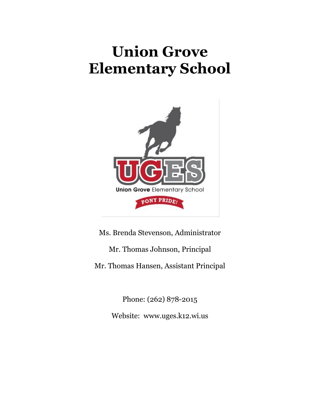# **Union Grove Elementary School**



Ms. Brenda Stevenson, Administrator Mr. Thomas Johnson, Principal Mr. Thomas Hansen, Assistant Principal

> Phone: (262) 878-2015 Website: www.uges.k12.wi.us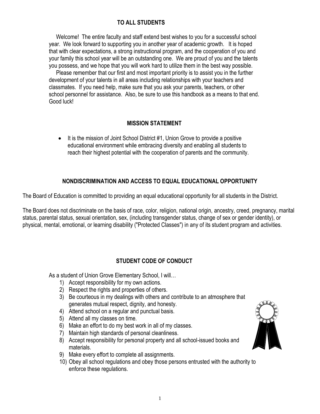## **TO ALL STUDENTS**

 Welcome! The entire faculty and staff extend best wishes to you for a successful school year. We look forward to supporting you in another year of academic growth. It is hoped that with clear expectations, a strong instructional program, and the cooperation of you and your family this school year will be an outstanding one. We are proud of you and the talents you possess, and we hope that you will work hard to utilize them in the best way possible.

 Please remember that our first and most important priority is to assist you in the further development of your talents in all areas including relationships with your teachers and classmates. If you need help, make sure that you ask your parents, teachers, or other school personnel for assistance. Also, be sure to use this handbook as a means to that end. Good luck!

#### **MISSION STATEMENT**

 It is the mission of Joint School District #1, Union Grove to provide a positive educational environment while embracing diversity and enabling all students to reach their highest potential with the cooperation of parents and the community.

#### **NONDISCRIMINATION AND ACCESS TO EQUAL EDUCATIONAL OPPORTUNITY**

The Board of Education is committed to providing an equal educational opportunity for all students in the District.

The Board does not discriminate on the basis of race, color, religion, national origin, ancestry, creed, pregnancy, marital status, parental status, sexual orientation, sex, (including transgender status, change of sex or gender identity), or physical, mental, emotional, or learning disability ("Protected Classes") in any of its student program and activities.

### **STUDENT CODE OF CONDUCT**

As a student of Union Grove Elementary School, I will…

- 1) Accept responsibility for my own actions.
- 2) Respect the rights and properties of others.
- 3) Be courteous in my dealings with others and contribute to an atmosphere that generates mutual respect, dignity, and honesty.
- 4) Attend school on a regular and punctual basis.
- 5) Attend all my classes on time.
- 6) Make an effort to do my best work in all of my classes.
- 7) Maintain high standards of personal cleanliness.
- 8) Accept responsibility for personal property and all school-issued books and materials.
- 9) Make every effort to complete all assignments.
- 10) Obey all school regulations and obey those persons entrusted with the authority to enforce these regulations.

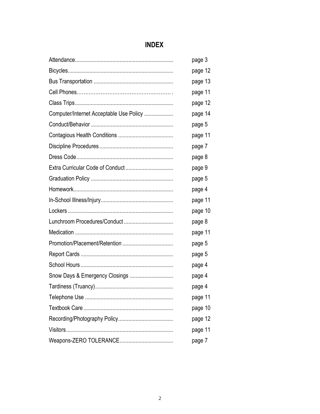# **INDEX**

|                                         | page 3  |
|-----------------------------------------|---------|
|                                         | page 12 |
|                                         | page 13 |
|                                         | page 11 |
|                                         | page 12 |
| Computer/Internet Acceptable Use Policy | page 14 |
|                                         | page 5  |
|                                         | page 11 |
|                                         | page 7  |
|                                         | page 8  |
|                                         | page 9  |
|                                         | page 5  |
|                                         | page 4  |
|                                         | page 11 |
|                                         | page 10 |
|                                         | page 8  |
|                                         | page 11 |
|                                         | page 5  |
|                                         | page 5  |
|                                         | page 4  |
| Snow Days & Emergency Closings          | page 4  |
|                                         | page 4  |
|                                         | page 11 |
|                                         | page 10 |
|                                         | page 12 |
|                                         | page 11 |
|                                         | page 7  |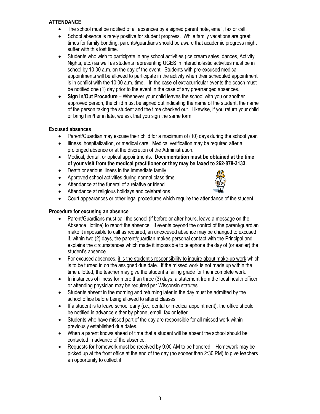#### **ATTENDANCE**

- The school must be notified of all absences by a signed parent note, email, fax or call.
- School absence is rarely positive for student progress. While family vacations are great times for family bonding, parents/guardians should be aware that academic progress might suffer with this lost time.
- Students who wish to participate in any school activities (ice cream sales, dances, Activity Nights, etc.) as well as students representing UGES in interscholastic activities must be in school by 10:00 a.m. on the day of the event. Students with pre-excused medical appointments will be allowed to participate in the activity when their scheduled appointment is in conflict with the 10:00 a.m. time. In the case of extracurricular events the coach must be notified one (1) day prior to the event in the case of any prearranged absences.
- **Sign In/Out Procedure** Whenever your child leaves the school with you or another approved person, the child must be signed out indicating the name of the student, the name of the person taking the student and the time checked out. Likewise, if you return your child or bring him/her in late, we ask that you sign the same form.

#### **Excused absences**

- Parent/Guardian may excuse their child for a maximum of (10) days during the school year.
- Illness, hospitalization, or medical care. Medical verification may be required after a prolonged absence or at the discretion of the Administration.
- Medical, dental, or optical appointments. **Documentation must be obtained at the time of your visit from the medical practitioner or they may be faxed to 262-878-3133.**
- Death or serious illness in the immediate family.
- Approved school activities during normal class time.
- Attendance at the funeral of a relative or friend.
- Attendance at religious holidays and celebrations.



Court appearances or other legal procedures which require the attendance of the student.

#### **Procedure for excusing an absence**

- Parent/Guardians must call the school (if before or after hours, leave a message on the Absence Hotline) to report the absence. If events beyond the control of the parent/guardian make it impossible to call as required, an unexcused absence may be changed to excused if, within two (2) days, the parent/guardian makes personal contact with the Principal and explains the circumstances which made it impossible to telephone the day of (or earlier) the student's absence.
- For excused absences, it is the student's responsibility to inquire about make-up work which is to be turned in on the assigned due date. If the missed work is not made up within the time allotted, the teacher may give the student a failing grade for the incomplete work.
- $\bullet$  In instances of illness for more than three (3) days, a statement from the local health officer or attending physician may be required per Wisconsin statutes.
- Students absent in the morning and returning later in the day must be admitted by the school office before being allowed to attend classes.
- $\bullet$  If a student is to leave school early (i.e., dental or medical appointment), the office should be notified in advance either by phone, email, fax or letter.
- Students who have missed part of the day are responsible for all missed work within previously established due dates.
- When a parent knows ahead of time that a student will be absent the school should be contacted in advance of the absence.
- Requests for homework must be received by 9:00 AM to be honored. Homework may be picked up at the front office at the end of the day (no sooner than 2:30 PM) to give teachers an opportunity to collect it.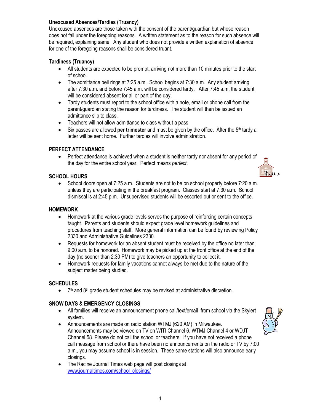#### **Unexcused Absences/Tardies (Truancy)**

Unexcused absences are those taken with the consent of the parent/guardian but whose reason does not fall under the foregoing reasons. A written statement as to the reason for such absence will be required, explaining same. Any student who does not provide a written explanation of absence for one of the foregoing reasons shall be considered truant.

#### **Tardiness (Truancy)**

- All students are expected to be prompt, arriving not more than 10 minutes prior to the start of school.
- The admittance bell rings at 7:25 a.m. School begins at 7:30 a.m. Any student arriving after 7:30 a.m. and before 7:45 a.m. will be considered tardy. After 7:45 a.m. the student will be considered absent for all or part of the day.
- Tardy students must report to the school office with a note, email or phone call from the parent/guardian stating the reason for tardiness. The student will then be issued an admittance slip to class.
- Teachers will not allow admittance to class without a pass.
- Six passes are allowed **per trimester** and must be given by the office. After the 5<sup>th</sup> tardy a letter will be sent home. Further tardies will involve administration.

#### **PERFECT ATTENDANCE**

 Perfect attendance is achieved when a student is neither tardy nor absent for any period of the day for the entire school year. Perfect means *perfect*.

#### **SCHOOL HOURS**

• School doors open at 7:25 a.m. Students are not to be on school property before 7:20 a.m. unless they are participating in the breakfast program. Classes start at 7:30 a.m. School dismissal is at 2:45 p.m. Unsupervised students will be escorted out or sent to the office.

#### **HOMEWORK**

- Homework at the various grade levels serves the purpose of reinforcing certain concepts taught. Parents and students should expect grade level homework guidelines and procedures from teaching staff. More general information can be found by reviewing Policy 2330 and Administrative Guidelines 2330.
- Requests for homework for an absent student must be received by the office no later than 9:00 a.m. to be honored. Homework may be picked up at the front office at the end of the day (no sooner than 2:30 PM) to give teachers an opportunity to collect it.
- Homework requests for family vacations cannot always be met due to the nature of the subject matter being studied.

#### **SCHEDULES**

 $\bullet$  7<sup>th</sup> and 8<sup>th</sup> grade student schedules may be revised at administrative discretion.

#### **SNOW DAYS & EMERGENCY CLOSINGS**

- All families will receive an announcement phone call/text/email from school via the Skylert system.
- Announcements are made on radio station WTMJ (620 AM) in Milwaukee. Announcements may be viewed on TV on WITI Channel 6, WTMJ Channel 4 or WDJT Channel 58. Please do not call the school or teachers. If you have not received a phone call message from school or there have been no announcements on the radio or TV by 7:00 a.m., you may assume school is in session. These same stations will also announce early closings.
- The Racine Journal Times web page will post closings at [www.journaltimes.com/school\\_closings/](http://www.journaltimes.com/school_closings/)



TILLE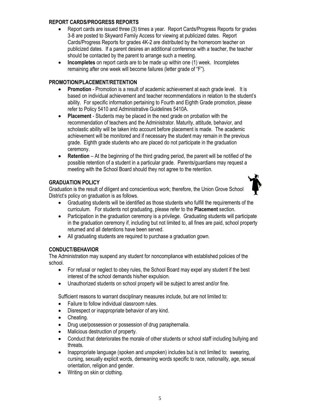#### **REPORT CARDS/PROGRESS REPORTS**

- Report cards are issued three (3) times a year. Report Cards/Progress Reports for grades 3-8 are posted to Skyward Family Access for viewing at publicized dates. Report Cards/Progress Reports for grades 4K-2 are distributed by the homeroom teacher on publicized dates. If a parent desires an additional conference with a teacher, the teacher should be contacted by the parent to arrange such a meeting.
- **Incompletes** on report cards are to be made up within one (1) week. Incompletes remaining after one week will become failures (letter grade of "F").

#### **PROMOTION/PLACEMENT/RETENTION**

- **Promotion** Promotion is a result of academic achievement at each grade level. It is based on individual achievement and teacher recommendations in relation to the student's ability. For specific information pertaining to Fourth and Eighth Grade promotion, please refer to Policy 5410 and Administrative Guidelines 5410A.
- **Placement** Students may be placed in the next grade on probation with the recommendation of teachers and the Administrator. Maturity, attitude, behavior, and scholastic ability will be taken into account before placement is made. The academic achievement will be monitored and if necessary the student may remain in the previous grade. Eighth grade students who are placed do not participate in the graduation ceremony.
- **Retention** At the beginning of the third grading period, the parent will be notified of the possible retention of a student in a particular grade. Parents/guardians may request a meeting with the School Board should they not agree to the retention.

#### **GRADUATION POLICY**

Graduation is the result of diligent and conscientious work; therefore, the Union Grove School District's policy on graduation is as follows.

- Graduating students will be identified as those students who fulfill the requirements of the curriculum.For students not graduating, please refer to the **Placement** section.
- Participation in the graduation ceremony is a privilege. Graduating students will participate in the graduation ceremony if, including but not limited to, all fines are paid, school property returned and all detentions have been served.
- All graduating students are required to purchase a graduation gown.

#### **CONDUCT/BEHAVIOR**

The Administration may suspend any student for noncompliance with established policies of the school.

- For refusal or neglect to obey rules, the School Board may expel any student if the best interest of the school demands his/her expulsion.
- Unauthorized students on school property will be subject to arrest and/or fine.

Sufficient reasons to warrant disciplinary measures include, but are not limited to:

- Failure to follow individual classroom rules.
- Disrespect or inappropriate behavior of any kind.
- Cheating.
- Drug use/possession or possession of drug paraphernalia.
- Malicious destruction of property.
- Conduct that deteriorates the morale of other students or school staff including bullying and threats.
- Inappropriate language (spoken and unspoken) includes but is not limited to: swearing, cursing, sexually explicit words, demeaning words specific to race, nationality, age, sexual orientation, religion and gender.
- Writing on skin or clothing.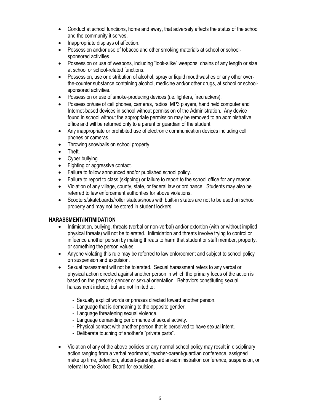- Conduct at school functions, home and away, that adversely affects the status of the school and the community it serves.
- Inappropriate displays of affection.
- Possession and/or use of tobacco and other smoking materials at school or schoolsponsored activities.
- Possession or use of weapons, including "look-alike" weapons, chains of any length or size at school or school-related functions.
- Possession, use or distribution of alcohol, spray or liquid mouthwashes or any other overthe-counter substance containing alcohol, medicine and/or other drugs, at school or schoolsponsored activities.
- Possession or use of smoke-producing devices (i.e. lighters, firecrackers).
- Possession/use of cell phones, cameras, radios, MP3 players, hand held computer and Internet-based devices in school without permission of the Administration. Any device found in school without the appropriate permission may be removed to an administrative office and will be returned only to a parent or guardian of the student.
- Any inappropriate or prohibited use of electronic communication devices including cell phones or cameras.
- Throwing snowballs on school property.
- Theft.
- Cyber bullying.
- Fighting or aggressive contact.
- Failure to follow announced and/or published school policy.
- Failure to report to class (skipping) or failure to report to the school office for any reason.
- Violation of any village, county, state, or federal law or ordinance. Students may also be referred to law enforcement authorities for above violations.
- Scooters/skateboards/roller skates/shoes with built-in skates are not to be used on school property and may not be stored in student lockers.

#### **HARASSMENT/INTIMIDATION**

- Intimidation, bullying, threats (verbal or non-verbal) and/or extortion (with or without implied physical threats) will not be tolerated. Intimidation and threats involve trying to control or influence another person by making threats to harm that student or staff member, property, or something the person values.
- Anyone violating this rule may be referred to law enforcement and subject to school policy on suspension and expulsion.
- Sexual harassment will not be tolerated. Sexual harassment refers to any verbal or physical action directed against another person in which the primary focus of the action is based on the person's gender or sexual orientation. Behaviors constituting sexual harassment include, but are not limited to:
	- Sexually explicit words or phrases directed toward another person.
	- Language that is demeaning to the opposite gender.
	- Language threatening sexual violence.
	- Language demanding performance of sexual activity.
	- Physical contact with another person that is perceived to have sexual intent.
	- Deliberate touching of another's "private parts".
- Violation of any of the above policies or any normal school policy may result in disciplinary action ranging from a verbal reprimand, teacher-parent/guardian conference, assigned make up time, detention, student-parent/guardian-administration conference, suspension, or referral to the School Board for expulsion.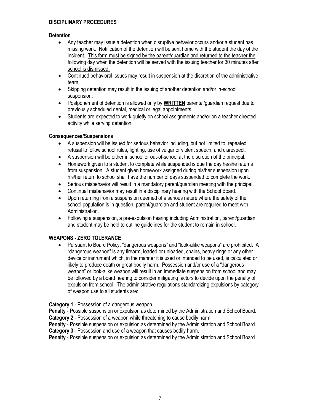#### **DISCIPLINARY PROCEDURES**

#### **Detention**

- Any teacher may issue a detention when disruptive behavior occurs and/or a student has missing work. Notification of the detention will be sent home with the student the day of the incident. This form must be signed by the parent/guardian and returned to the teacher the following day when the detention will be served with the issuing teacher for 30 minutes after school is dismissed.
- Continued behavioral issues may result in suspension at the discretion of the administrative team.
- Skipping detention may result in the issuing of another detention and/or in-school suspension.
- Postponement of detention is allowed only by **WRITTEN** parental/guardian request due to previously scheduled dental, medical or legal appointments.
- Students are expected to work quietly on school assignments and/or on a teacher directed activity while serving detention.

#### **Consequences/Suspensions**

- A suspension will be issued for serious behavior including, but not limited to: repeated refusal to follow school rules, fighting, use of vulgar or violent speech, and disrespect.
- A suspension will be either in school or out-of-school at the discretion of the principal.
- Homework given to a student to complete while suspended is due the day he/she returns from suspension. A student given homework assigned during his/her suspension upon his/her return to school shall have the number of days suspended to complete the work.
- Serious misbehavior will result in a mandatory parent/guardian meeting with the principal.
- Continual misbehavior may result in a disciplinary hearing with the School Board.
- Upon returning from a suspension deemed of a serious nature where the safety of the school population is in question, parent/guardian and student are required to meet with Administration.
- Following a suspension, a pre-expulsion hearing including Administration, parent/guardian and student may be held to outline guidelines for the student to remain in school.

#### **WEAPONS - ZERO TOLERANCE**

 Pursuant to Board Policy, "dangerous weapons" and "look-alike weapons" are prohibited. A "dangerous weapon" is any firearm, loaded or unloaded, chains, heavy rings or any other device or instrument which, in the manner it is used or intended to be used, is calculated or likely to produce death or great bodily harm. Possession and/or use of a "dangerous weapon" or look-alike weapon will result in an immediate suspension from school and may be followed by a board hearing to consider mitigating factors to decide upon the penalty of expulsion from school. The administrative regulations standardizing expulsions by category of weapon use to all students are:

**Category 1** - Possession of a dangerous weapon.

**Penalty** - Possible suspension or expulsion as determined by the Administration and School Board. **Category 2** - Possession of a weapon while threatening to cause bodily harm.

**Penalty** - Possible suspension or expulsion as determined by the Administration and School Board. **Category 3** - Possession and use of a weapon that causes bodily harm.

**Penalty** - Possible suspension or expulsion as determined by the Administration and School Board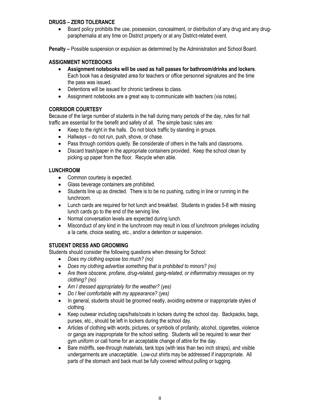#### **DRUGS – ZERO TOLERANCE**

 Board policy prohibits the use, possession, concealment, or distribution of any drug and any drugparaphernalia at any time on District property or at any District-related event.

**Penalty –** Possible suspension or expulsion as determined by the Administration and School Board.

#### **ASSIGNMENT NOTEBOOKS**

- **Assignment notebooks will be used as hall passes for bathroom/drinks and lockers**. Each book has a designated area for teachers or office personnel signatures and the time the pass was issued.
- Detentions will be issued for chronic tardiness to class.
- Assignment notebooks are a great way to communicate with teachers (via notes).

#### **CORRIDOR COURTESY**

Because of the large number of students in the hall during many periods of the day, rules for hall traffic are essential for the benefit and safety of all. The simple basic rules are:

- Keep to the right in the halls. Do not block traffic by standing in groups.
- Hallways do not run, push, shove, or chase.
- Pass through corridors quietly. Be considerate of others in the halls and classrooms.
- Discard trash/paper in the appropriate containers provided. Keep the school clean by picking up paper from the floor. Recycle when able.

#### **LUNCHROOM**

- Common courtesy is expected.
- Glass beverage containers are prohibited.
- Students line up as directed. There is to be no pushing, cutting in line or running in the lunchroom.
- Lunch cards are required for hot lunch and breakfast. Students in grades 5-8 with missing lunch cards go to the end of the serving line.
- Normal conversation levels are expected during lunch.
- Misconduct of any kind in the lunchroom may result in loss of lunchroom privileges including a la carte, choice seating, etc., and/or a detention or suspension.

#### **STUDENT DRESS AND GROOMING**

Students should consider the following questions when dressing for School:

- *Does my clothing expose too much? (no)*
- *Does my clothing advertise something that is prohibited to minors? (no)*
- *Are there obscene, profane, drug-related, gang-related, or inflammatory messages on my clothing? (no)*
- *Am I dressed appropriately for the weather? (yes)*
- *Do I feel comfortable with my appearance? (yes)*
- In general, students should be groomed neatly, avoiding extreme or inappropriate styles of clothing.
- Keep outwear including caps/hats/coats in lockers during the school day. Backpacks, bags, purses, etc., should be left in lockers during the school day.
- Articles of clothing with words, pictures, or symbols of profanity, alcohol, cigarettes, violence or gangs are inappropriate for the school setting. Students will be required to wear their gym uniform or call home for an acceptable change of attire for the day.
- Bare midriffs, see-through materials, tank tops (with less than two inch straps), and visible undergarments are unacceptable. Low-cut shirts may be addressed if inappropriate. All parts of the stomach and back must be fully covered without pulling or tugging.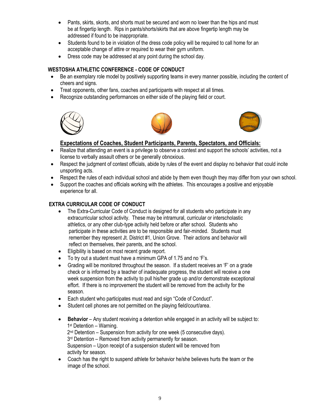- Pants, skirts, skorts, and shorts must be secured and worn no lower than the hips and must be at fingertip length. Rips in pants/shorts/skirts that are above fingertip length may be addressed if found to be inappropriate.
- Students found to be in violation of the dress code policy will be required to call home for an acceptable change of attire or required to wear their gym uniform.
- Dress code may be addressed at any point during the school day.

#### **WESTOSHA ATHLETIC CONFERENCE - CODE OF CONDUCT**

- Be an exemplary role model by positively supporting teams in every manner possible, including the content of cheers and signs.
- Treat opponents, other fans, coaches and participants with respect at all times.
- Recognize outstanding performances on either side of the playing field or court.







#### **Expectations of Coaches, Student Participants, Parents, Spectators, and Officials:**

- Realize that attending an event is a privilege to observe a contest and support the schools' activities, not a license to verbally assault others or be generally obnoxious.
- Respect the judgment of contest officials, abide by rules of the event and display no behavior that could incite unsporting acts.
- Respect the rules of each individual school and abide by them even though they may differ from your own school.
- Support the coaches and officials working with the athletes. This encourages a positive and enjoyable experience for all.

#### **EXTRA CURRICULAR CODE OF CONDUCT**

- The Extra-Curricular Code of Conduct is designed for all students who participate in any extracurricular school activity. These may be intramural, curricular or interscholastic athletics, or any other club-type activity held before or after school. Students who participate in these activities are to be responsible and fair-minded. Students must remember they represent Jt. District #1, Union Grove. Their actions and behavior will reflect on themselves, their parents, and the school.
- Eligibility is based on most recent grade report.
- To try out a student must have a minimum GPA of 1.75 and no 'F's.
- Grading will be monitored throughout the season. If a student receives an 'F' on a grade check or is informed by a teacher of inadequate progress, the student will receive a one week suspension from the activity to pull his/her grade up and/or demonstrate exceptional effort. If there is no improvement the student will be removed from the activity for the season.
- Each student who participates must read and sign "Code of Conduct".
- Student cell phones are not permitted on the playing field/court/area.
- **Behavior** Any student receiving a detention while engaged in an activity will be subject to: 1  $1<sup>st</sup>$  Detention – Warning. 2<sup>nd</sup> Detention – Suspension from activity for one week (5 consecutive days). 3<sup>rd</sup> Detention – Removed from activity permanently for season. Suspension – Upon receipt of a suspension student will be removed from activity for season.
	- Coach has the right to suspend athlete for behavior he/she believes hurts the team or the image of the school.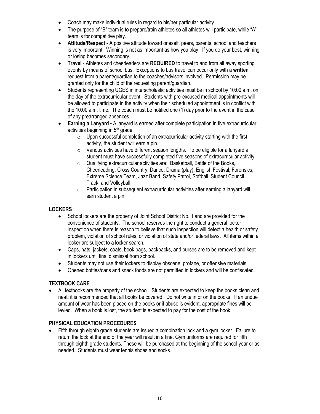- Coach may make individual rules in regard to his/her particular activity.
- The purpose of "B" team is to prepare/train athletes so all athletes will participate, while "A" team is for competitive play.
- **Attitude/Respect**  A positive attitude toward oneself, peers, parents, school and teachers is very important. Winning is not as important as how you play. If you do your best, winning or losing becomes secondary.
- **Travel** Athletes and cheerleaders are **REQUIRED** to travel to and from all away sporting events by means of school bus. Exceptions to bus travel can occur only with a **written** request from a parent/guardian to the coaches/advisors involved. Permission may be granted only for the child of the requesting parent/guardian.
- Students representing UGES in interscholastic activities must be in school by 10:00 a.m. on the day of the extracurricular event. Students with pre-excused medical appointments will be allowed to participate in the activity when their scheduled appointment is in conflict with the 10:00 a.m. time. The coach must be notified one (1) day prior to the event in the case of any prearranged absences.
- **Earning a Lanyard -** A lanyard is earned after complete participation in five extracurricular activities beginning in 5<sup>th</sup> grade.
	- $\circ$  Upon successful completion of an extracurricular activity starting with the first activity, the student will earn a pin.
	- $\circ$  Various activities have different season lengths. To be eligible for a lanyard a student must have successfully completed five seasons of extracurricular activity.
	- o Qualifying extracurricular activities are: Basketball, Battle of the Books, Cheerleading, Cross Country, Dance, Drama (play), English Festival, Forensics, Extreme Science Team, Jazz Band, Safety Patrol, Softball, Student Council, Track, and Volleyball.
	- o Participation in subsequent extracurricular activities after earning a lanyard will earn student a pin.

#### **LOCKERS**

- School lockers are the property of Joint School District No. 1 and are provided for the convenience of students. The school reserves the right to conduct a general locker inspection when there is reason to believe that such inspection will detect a health or safety problem, violation of school rules, or violation of state and/or federal laws. All items within a locker are subject to a locker search.
- Caps, hats, jackets, coats, book bags, backpacks, and purses are to be removed and kept in lockers until final dismissal from school.
- Students may not use their lockers to display obscene, profane, or offensive materials.
- Opened bottles/cans and snack foods are not permitted in lockers and will be confiscated.

#### **TEXTBOOK CARE**

• All textbooks are the property of the school. Students are expected to keep the books clean and neat; it is recommended that all books be covered. Do not write in or on the books. If an undue amount of wear has been placed on the books or if abuse is evident, appropriate fines will be levied. When a book is lost, the student is expected to pay for the cost of the book.

#### **PHYSICAL EDUCATION PROCEDURES**

• Fifth through eighth grade students are issued a combination lock and a gym locker. Failure to return the lock at the end of the year will result in a fine. Gym uniforms are required for fifth through eighth grade students. These will be purchased at the beginning of the school year or as needed. Students must wear tennis shoes and socks.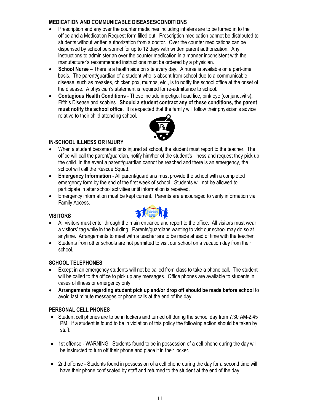#### **MEDICATION AND COMMUNICABLE DISEASES/CONDITIONS**

- Prescription and any over the counter medicines including inhalers are to be turned in to the office and a Medication Request form filled out. Prescription medication cannot be distributed to students without written authorization from a doctor. Over the counter medications can be dispensed by school personnel for up to 12 days with written parent authorization. Any instructions to administer an over the counter medication in a manner inconsistent with the manufacturer's recommended instructions must be ordered by a physician.
- **School Nurse** There is a health aide on site every day. A nurse is available on a part-time basis. The parent/guardian of a student who is absent from school due to a communicable disease, such as measles, chicken pox, mumps, etc., is to notify the school office at the onset of the disease. A physician's statement is required for re-admittance to school.
- **Contagious Health Conditions** These include impetigo, head lice, pink eye (conjunctivitis), Fifth's Disease and scabies. **Should a student contract any of these conditions, the parent must notify the school office.** It is expected that the family will follow their physician's advice relative to their child attending school.



#### **IN-SCHOOL ILLNESS OR INJURY**

- When a student becomes ill or is injured at school, the student must report to the teacher. The office will call the parent/guardian, notify him/her of the student's illness and request they pick up the child. In the event a parent/guardian cannot be reached and there is an emergency, the school will call the Rescue Squad.
- **Emergency Information** All parent/guardians must provide the school with a completed emergency form by the end of the first week of school. Students will not be allowed to participate in after school activities until information is received.
- Emergency information must be kept current. Parents are encouraged to verify information via Family Access.

#### **VISITORS**



- All visitors must enter through the main entrance and report to the office. All visitors must wear a visitors' tag while in the building. Parents/guardians wanting to visit our school may do so at anytime. Arrangements to meet with a teacher are to be made ahead of time with the teacher.
- Students from other schools are not permitted to visit our school on a vacation day from their school.

#### **SCHOOL TELEPHONES**

- Except in an emergency students will not be called from class to take a phone call. The student will be called to the office to pick up any messages. Office phones are available to students in cases of illness or emergency only.
- **Arrangements regarding student pick up and/or drop off should be made before school** to avoid last minute messages or phone calls at the end of the day.

#### **PERSONAL CELL PHONES**

- Student cell phones are to be in lockers and turned off during the school day from 7:30 AM-2:45 PM. If a student is found to be in violation of this policy the following action should be taken by staff:
- 1st offense WARNING. Students found to be in possession of a cell phone during the day will be instructed to turn off their phone and place it in their locker.
- 2nd offense Students found in possession of a cell phone during the day for a second time will have their phone confiscated by staff and returned to the student at the end of the day.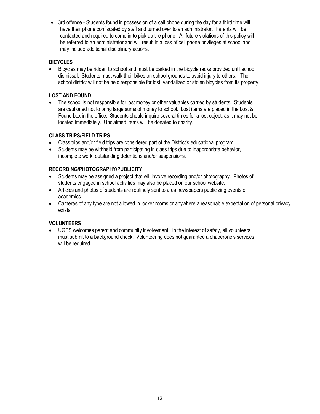• 3rd offense - Students found in possession of a cell phone during the day for a third time will have their phone confiscated by staff and turned over to an administrator. Parents will be contacted and required to come in to pick up the phone. All future violations of this policy will be referred to an administrator and will result in a loss of cell phone privileges at school and may include additional disciplinary actions.

#### **BICYCLES**

 Bicycles may be ridden to school and must be parked in the bicycle racks provided until school dismissal. Students must walk their bikes on school grounds to avoid injury to others. The school district will not be held responsible for lost, vandalized or stolen bicycles from its property.

#### **LOST AND FOUND**

• The school is not responsible for lost money or other valuables carried by students. Students are cautioned not to bring large sums of money to school. Lost items are placed in the Lost & Found box in the office. Students should inquire several times for a lost object, as it may not be located immediately. Unclaimed items will be donated to charity.

#### **CLASS TRIPS/FIELD TRIPS**

- Class trips and/or field trips are considered part of the District's educational program.
- Students may be withheld from participating in class trips due to inappropriate behavior, incomplete work, outstanding detentions and/or suspensions.

#### **RECORDING/PHOTOGRAPHY/PUBLICITY**

- Students may be assigned a project that will involve recording and/or photography. Photos of students engaged in school activities may also be placed on our school website.
- Articles and photos of students are routinely sent to area newspapers publicizing events or academics.
- Cameras of any type are not allowed in locker rooms or anywhere a reasonable expectation of personal privacy exists.

#### **VOLUNTEERS**

 UGES welcomes parent and community involvement. In the interest of safety, all volunteers must submit to a background check. Volunteering does not guarantee a chaperone's services will be required.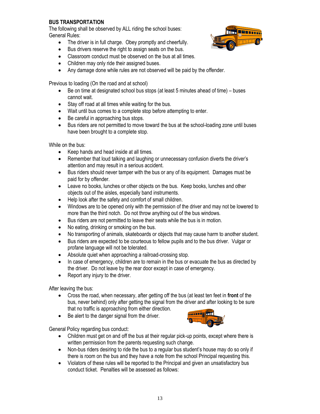#### **BUS TRANSPORTATION**

 The following shall be observed by ALL riding the school buses: General Rules:

- The driver is in full charge. Obey promptly and cheerfully.
- Bus drivers reserve the right to assign seats on the bus.
- Classroom conduct must be observed on the bus at all times.
- Children may only ride their assigned buses.
- Any damage done while rules are not observed will be paid by the offender.

Previous to loading (On the road and at school)

- Be on time at designated school bus stops (at least 5 minutes ahead of time) buses cannot wait.
- Stay off road at all times while waiting for the bus.
- Wait until bus comes to a complete stop before attempting to enter.
- Be careful in approaching bus stops.
- Bus riders are not permitted to move toward the bus at the school-loading zone until buses have been brought to a complete stop.

While on the bus:

- Keep hands and head inside at all times.
- Remember that loud talking and laughing or unnecessary confusion diverts the driver's attention and may result in a serious accident.
- Bus riders should never tamper with the bus or any of its equipment. Damages must be paid for by offender.
- Leave no books, lunches or other objects on the bus. Keep books, lunches and other objects out of the aisles, especially band instruments.
- Help look after the safety and comfort of small children.
- Windows are to be opened only with the permission of the driver and may not be lowered to more than the third notch. Do not throw anything out of the bus windows.
- Bus riders are not permitted to leave their seats while the bus is in motion.
- No eating, drinking or smoking on the bus.
- No transporting of animals, skateboards or objects that may cause harm to another student.
- Bus riders are expected to be courteous to fellow pupils and to the bus driver. Vulgar or profane language will not be tolerated.
- Absolute quiet when approaching a railroad-crossing stop.
- In case of emergency, children are to remain in the bus or evacuate the bus as directed by the driver. Do not leave by the rear door except in case of emergency.
- Report any injury to the driver.

After leaving the bus:

- Cross the road, when necessary, after getting off the bus (at least ten feet in **front** of the bus, never behind) only after getting the signal from the driver and after looking to be sure that no traffic is approaching from either direction.
- Be alert to the danger signal from the driver.



General Policy regarding bus conduct:

- Children must get on and off the bus at their regular pick-up points, except where there is written permission from the parents requesting such change.
- Non-bus riders desiring to ride the bus to a regular bus student's house may do so only if there is room on the bus and they have a note from the school Principal requesting this.
- Violators of these rules will be reported to the Principal and given an unsatisfactory bus conduct ticket. Penalties will be assessed as follows: